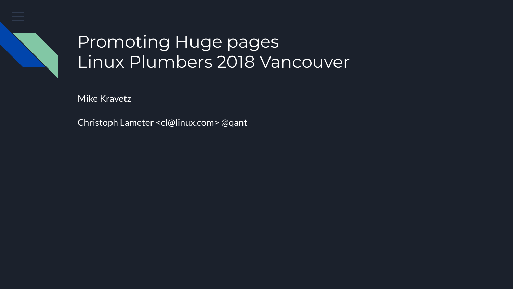

# Promoting Huge pages Linux Plumbers 2018 Vancouver

Mike Kravetz

Christoph Lameter <cl@linux.com> @qant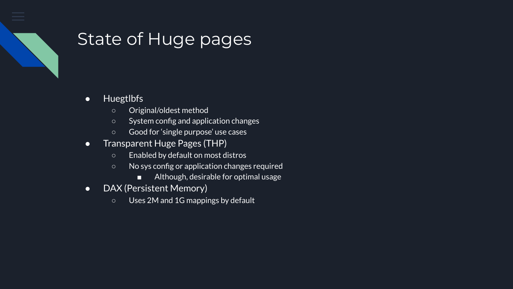

#### State of Huge pages

- Huegtlbfs
	- Original/oldest method
	- System config and application changes
	- Good for 'single purpose' use cases
- Transparent Huge Pages (THP)
	- Enabled by default on most distros
	- No sys config or application changes required
		- Although, desirable for optimal usage
- DAX (Persistent Memory)
	- Uses 2M and 1G mappings by default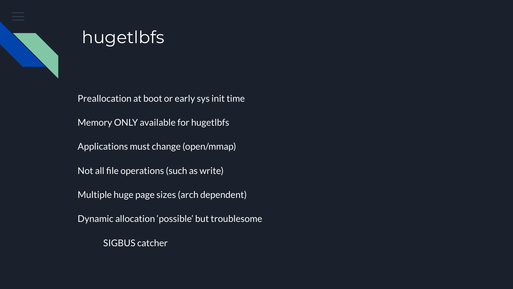

# hugetlbfs

Preallocation at boot or early sys init time Memory ONLY available for hugetlbfs Applications must change (open/mmap) Not all file operations (such as write) Multiple huge page sizes (arch dependent) Dynamic allocation 'possible' but troublesome

SIGBUS catcher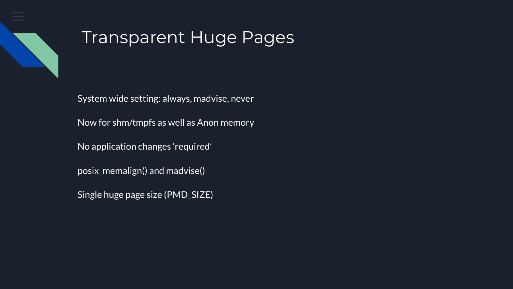

### Transparent Huge Pages

System wide setting: always, madvise, never Now for shm/tmpfs as well as Anon memory No application changes 'required' posix\_memalign() and madvise() Single huge page size (PMD\_SIZE)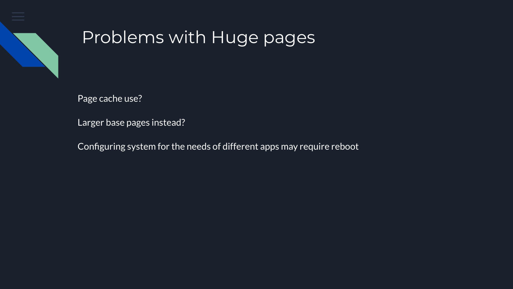

# Problems with Huge pages

Page cache use?

Larger base pages instead?

Configuring system for the needs of different apps may require reboot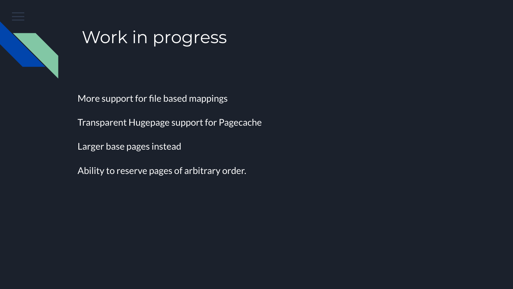

#### Work in progress

More support for file based mappings

Transparent Hugepage support for Pagecache

Larger base pages instead

Ability to reserve pages of arbitrary order.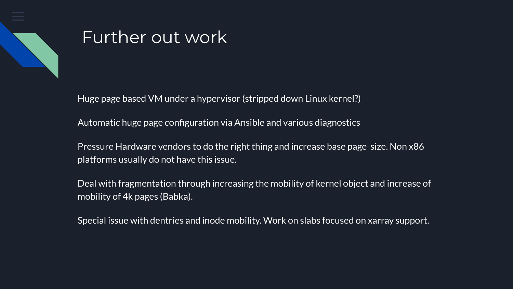

### Further out work

Huge page based VM under a hypervisor (stripped down Linux kernel?)

Automatic huge page configuration via Ansible and various diagnostics

Pressure Hardware vendors to do the right thing and increase base page size. Non x86 platforms usually do not have this issue.

Deal with fragmentation through increasing the mobility of kernel object and increase of mobility of 4k pages (Babka).

Special issue with dentries and inode mobility. Work on slabs focused on xarray support.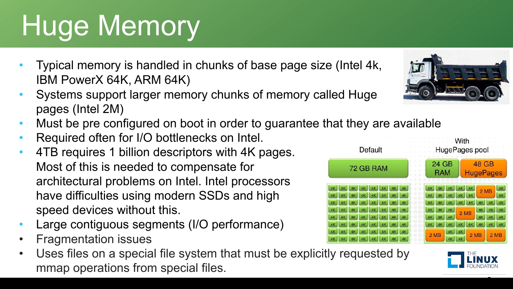# Huge Memory

- Typical memory is handled in chunks of base page size (Intel 4k, IBM PowerX 64K, ARM 64K)
- Systems support larger memory chunks of memory called Huge pages (Intel 2M)
- Must be pre configured on boot in order to guarantee that they are available
- Required often for I/O bottlenecks on Intel.
- 4TB requires 1 billion descriptors with 4K pages. Most of this is needed to compensate for architectural problems on Intel. Intel processors have difficulties using modern SSDs and high speed devices without this.
- Large contiguous segments (I/O performance)
- Fragmentation issues
- Uses files on a special file system that must be explicitly requested by mmap operations from special files.





8